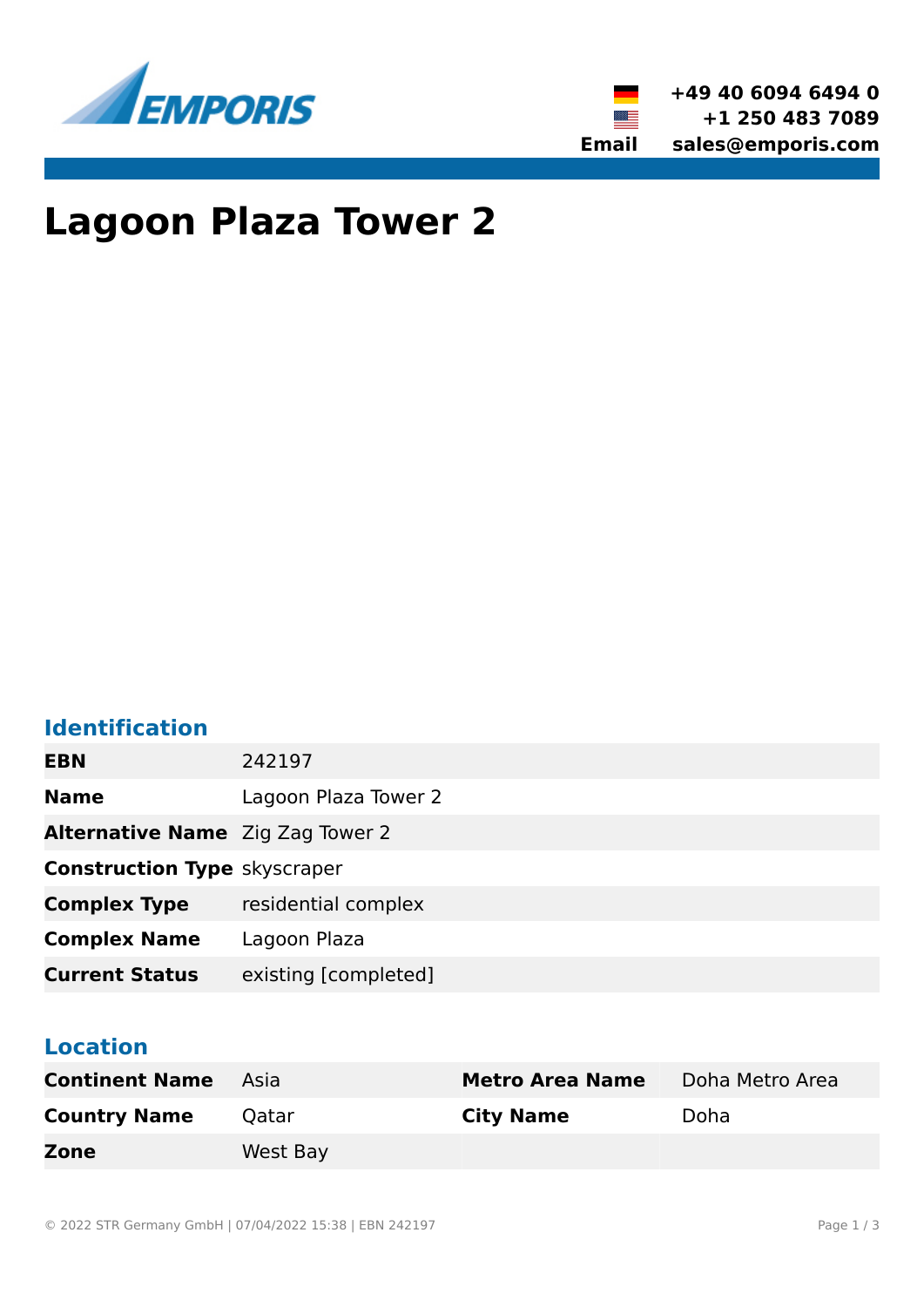



# **Lagoon Plaza Tower 2**

## **Identification**

| 242197                                  |
|-----------------------------------------|
| Lagoon Plaza Tower 2                    |
| <b>Alternative Name</b> Zig Zag Tower 2 |
| <b>Construction Type skyscraper</b>     |
| residential complex                     |
| Lagoon Plaza                            |
| existing [completed]                    |
|                                         |

### **Location**

| <b>Continent Name</b> | - Asia   | <b>Metro Area Name</b> | Doha Metro Area |
|-----------------------|----------|------------------------|-----------------|
| <b>Country Name</b>   | Oatar    | <b>City Name</b>       | Doha            |
| Zone                  | West Bay |                        |                 |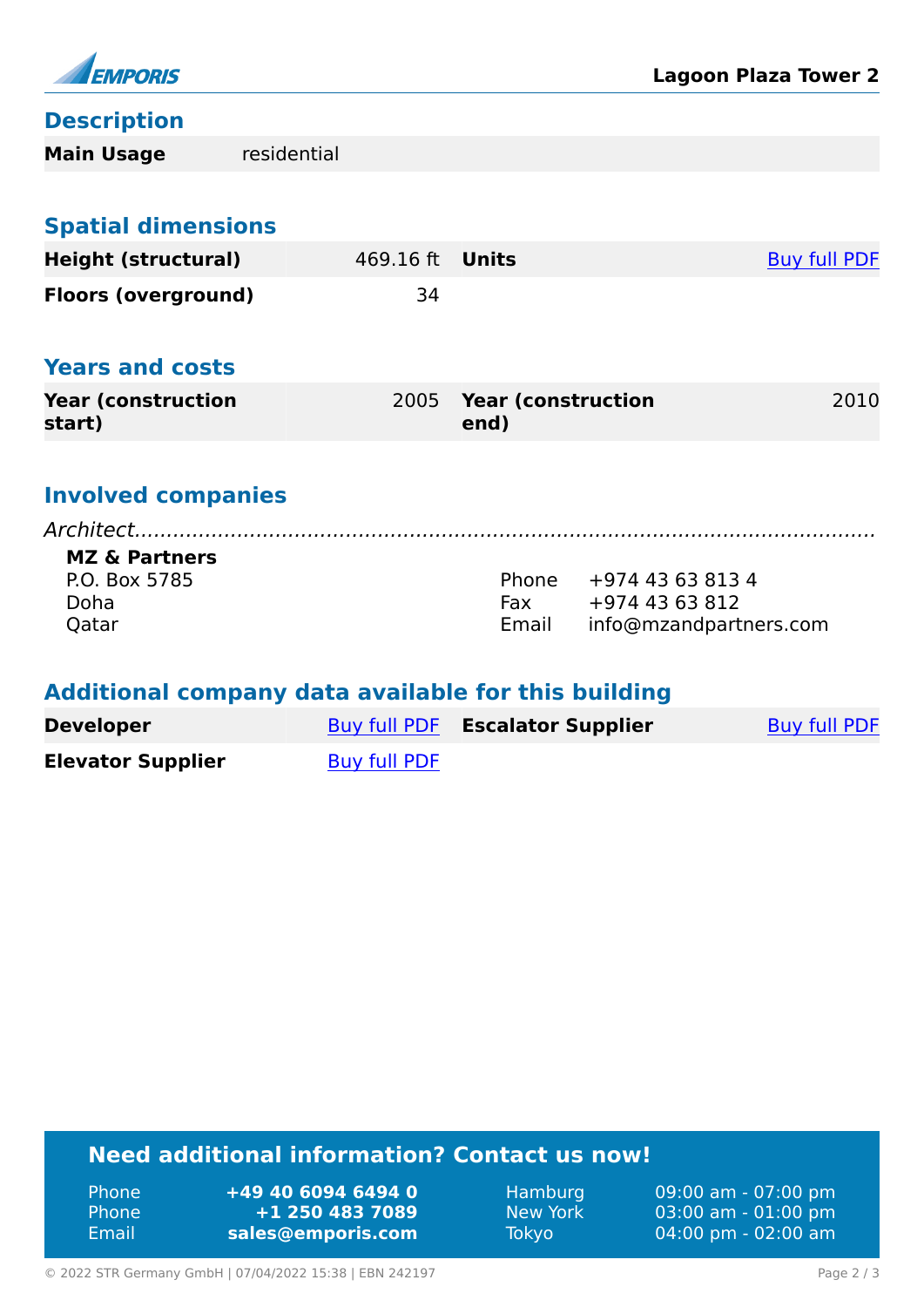

### **Description**

| <b>Main Usage</b>                                                                                     | residential |           |                                   |                                                              |                     |
|-------------------------------------------------------------------------------------------------------|-------------|-----------|-----------------------------------|--------------------------------------------------------------|---------------------|
|                                                                                                       |             |           |                                   |                                                              |                     |
| <b>Spatial dimensions</b>                                                                             |             |           |                                   |                                                              |                     |
| <b>Height (structural)</b>                                                                            |             | 469.16 ft | <b>Units</b>                      |                                                              | <b>Buy full PDF</b> |
| <b>Floors (overground)</b>                                                                            |             | 34        |                                   |                                                              |                     |
| <b>Years and costs</b>                                                                                |             |           |                                   |                                                              |                     |
| <b>Year (construction)</b><br>start)                                                                  |             | 2005      | <b>Year (construction</b><br>end) |                                                              | 2010                |
| <b>Involved companies</b><br>Architect.<br><b>MZ &amp; Partners</b><br>P.O. Box 5785<br>Doha<br>Qatar |             |           | Phone<br>Fax<br>Email             | +974 43 63 813 4<br>+974 43 63 812<br>info@mzandpartners.com |                     |

### **Additional company data available for this building**

| <b>Developer</b>         |              | Buy full PDF Escalator Supplier | Buy full PDF |
|--------------------------|--------------|---------------------------------|--------------|
| <b>Elevator Supplier</b> | Buy full PDF |                                 |              |

## **Need additional information? Contact us now!**

| Phone | +49 40 6094 6494 0 |
|-------|--------------------|
| Phone | +1 250 483 7089    |
| Email | sales@emporis.com  |

Hamburg 09:00 am - 07:00 pm<br>New York 03:00 am - 01:00 pm New York 03:00 am - 01:00 pm<br>Tokyo 04:00 pm - 02:00 am 04:00 pm - 02:00 am